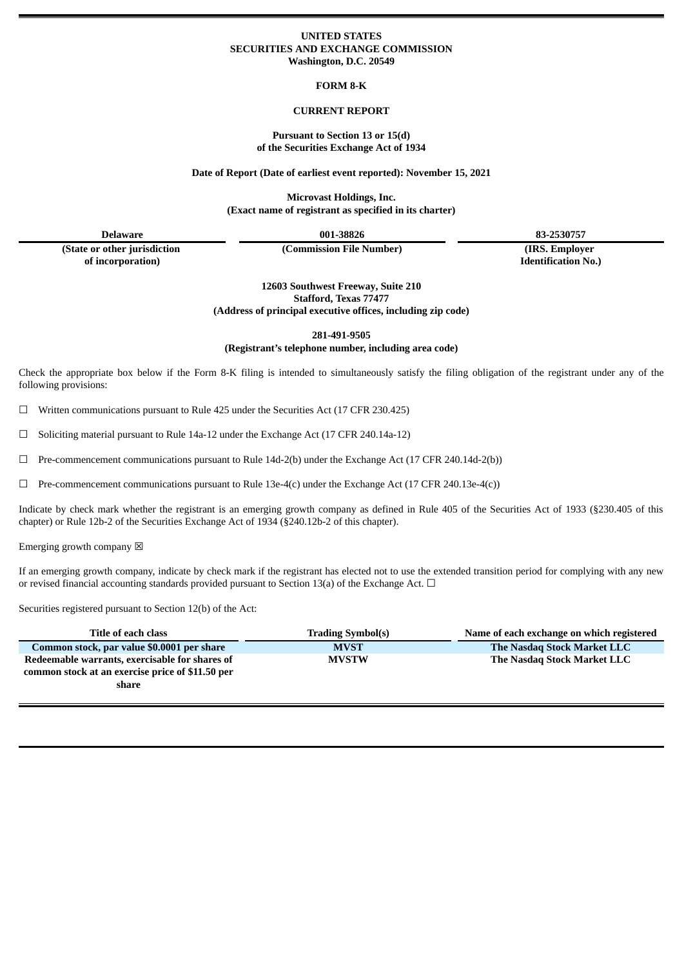#### **UNITED STATES SECURITIES AND EXCHANGE COMMISSION Washington, D.C. 20549**

**FORM 8-K**

#### **CURRENT REPORT**

#### **Pursuant to Section 13 or 15(d) of the Securities Exchange Act of 1934**

**Date of Report (Date of earliest event reported): November 15, 2021**

**Microvast Holdings, Inc. (Exact name of registrant as specified in its charter)**

**Delaware 001-38826 83-2530757**

**(State or other jurisdiction of incorporation)**

**(Commission File Number) (IRS. Employer**

**Identification No.)**

**12603 Southwest Freeway, Suite 210 Stafford, Texas 77477 (Address of principal executive offices, including zip code)**

**281-491-9505**

**(Registrant's telephone number, including area code)**

Check the appropriate box below if the Form 8-K filing is intended to simultaneously satisfy the filing obligation of the registrant under any of the following provisions:

 $\Box$  Written communications pursuant to Rule 425 under the Securities Act (17 CFR 230.425)

 $\Box$  Soliciting material pursuant to Rule 14a-12 under the Exchange Act (17 CFR 240.14a-12)

 $\Box$  Pre-commencement communications pursuant to Rule 14d-2(b) under the Exchange Act (17 CFR 240.14d-2(b))

☐ Pre-commencement communications pursuant to Rule 13e-4(c) under the Exchange Act (17 CFR 240.13e-4(c))

Indicate by check mark whether the registrant is an emerging growth company as defined in Rule 405 of the Securities Act of 1933 (§230.405 of this chapter) or Rule 12b-2 of the Securities Exchange Act of 1934 (§240.12b-2 of this chapter).

Emerging growth company  $\boxtimes$ 

If an emerging growth company, indicate by check mark if the registrant has elected not to use the extended transition period for complying with any new or revised financial accounting standards provided pursuant to Section 13(a) of the Exchange Act.  $\Box$ 

Securities registered pursuant to Section 12(b) of the Act:

| Title of each class                                                                                         | <b>Trading Symbol(s)</b> | Name of each exchange on which registered |
|-------------------------------------------------------------------------------------------------------------|--------------------------|-------------------------------------------|
| Common stock, par value \$0.0001 per share                                                                  | <b>MVST</b>              | The Nasdag Stock Market LLC               |
| Redeemable warrants, exercisable for shares of<br>common stock at an exercise price of \$11.50 per<br>share | <b>MVSTW</b>             | The Nasdag Stock Market LLC               |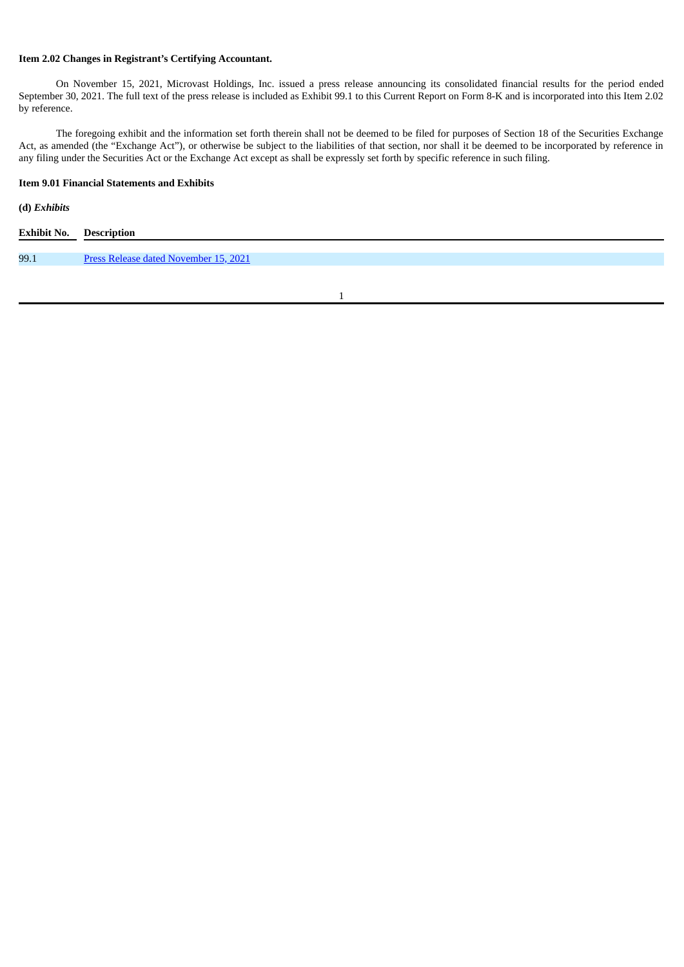## **Item 2.02 Changes in Registrant's Certifying Accountant.**

On November 15, 2021, Microvast Holdings, Inc. issued a press release announcing its consolidated financial results for the period ended September 30, 2021. The full text of the press release is included as Exhibit 99.1 to this Current Report on Form 8-K and is incorporated into this Item 2.02 by reference.

The foregoing exhibit and the information set forth therein shall not be deemed to be filed for purposes of Section 18 of the Securities Exchange Act, as amended (the "Exchange Act"), or otherwise be subject to the liabilities of that section, nor shall it be deemed to be incorporated by reference in any filing under the Securities Act or the Exchange Act except as shall be expressly set forth by specific reference in such filing.

### **Item 9.01 Financial Statements and Exhibits**

# **(d)** *Exhibits*

| <b>Exhibit No. Description</b> |                                       |
|--------------------------------|---------------------------------------|
|                                |                                       |
| 99.1                           | Press Release dated November 15, 2021 |
|                                |                                       |

1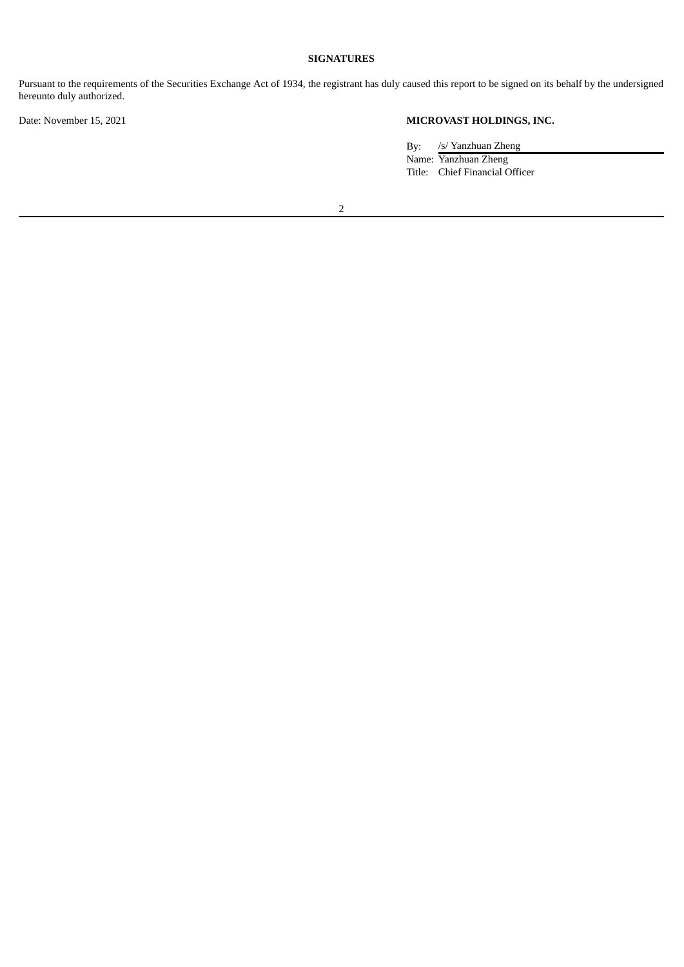# **SIGNATURES**

Pursuant to the requirements of the Securities Exchange Act of 1934, the registrant has duly caused this report to be signed on its behalf by the undersigned hereunto duly authorized.

# Date: November 15, 2021 **MICROVAST HOLDINGS, INC.**

By: /s/ Yanzhuan Zheng Name: Yanzhuan Zheng Title: Chief Financial Officer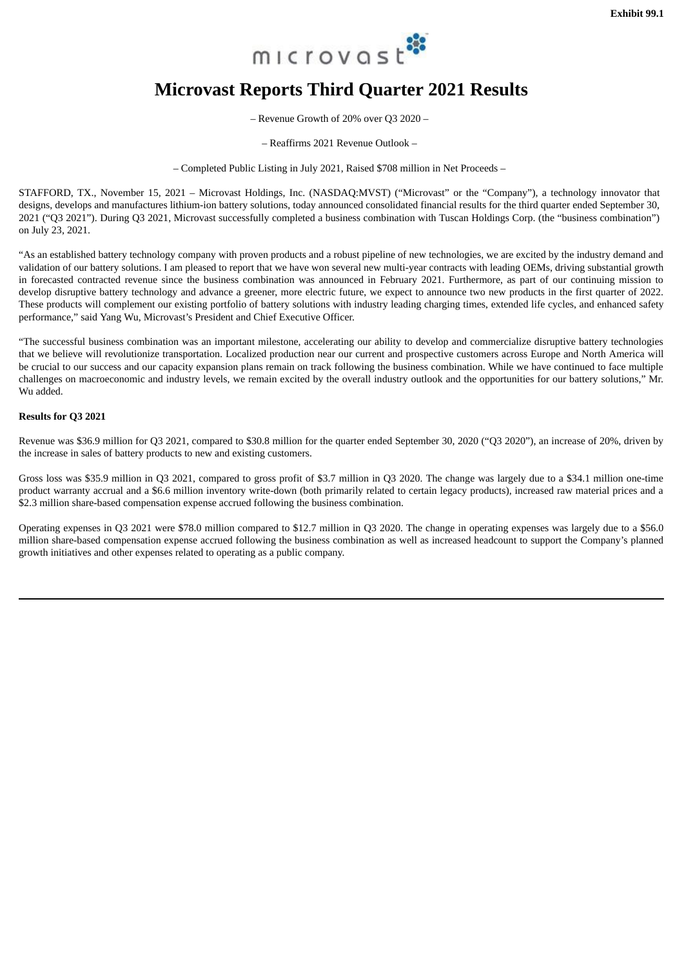

# <span id="page-3-0"></span>**Microvast Reports Third Quarter 2021 Results**

– Revenue Growth of 20% over Q3 2020 –

– Reaffirms 2021 Revenue Outlook –

– Completed Public Listing in July 2021, Raised \$708 million in Net Proceeds –

STAFFORD, TX., November 15, 2021 – Microvast Holdings, Inc. (NASDAQ:MVST) ("Microvast" or the "Company"), a technology innovator that designs, develops and manufactures lithium-ion battery solutions, today announced consolidated financial results for the third quarter ended September 30, 2021 ("Q3 2021"). During Q3 2021, Microvast successfully completed a business combination with Tuscan Holdings Corp. (the "business combination") on July 23, 2021.

"As an established battery technology company with proven products and a robust pipeline of new technologies, we are excited by the industry demand and validation of our battery solutions. I am pleased to report that we have won several new multi-year contracts with leading OEMs, driving substantial growth in forecasted contracted revenue since the business combination was announced in February 2021. Furthermore, as part of our continuing mission to develop disruptive battery technology and advance a greener, more electric future, we expect to announce two new products in the first quarter of 2022. These products will complement our existing portfolio of battery solutions with industry leading charging times, extended life cycles, and enhanced safety performance," said Yang Wu, Microvast's President and Chief Executive Officer.

"The successful business combination was an important milestone, accelerating our ability to develop and commercialize disruptive battery technologies that we believe will revolutionize transportation. Localized production near our current and prospective customers across Europe and North America will be crucial to our success and our capacity expansion plans remain on track following the business combination. While we have continued to face multiple challenges on macroeconomic and industry levels, we remain excited by the overall industry outlook and the opportunities for our battery solutions," Mr. Wu added.

#### **Results for Q3 2021**

Revenue was \$36.9 million for Q3 2021, compared to \$30.8 million for the quarter ended September 30, 2020 ("Q3 2020"), an increase of 20%, driven by the increase in sales of battery products to new and existing customers.

Gross loss was \$35.9 million in Q3 2021, compared to gross profit of \$3.7 million in Q3 2020. The change was largely due to a \$34.1 million one-time product warranty accrual and a \$6.6 million inventory write-down (both primarily related to certain legacy products), increased raw material prices and a \$2.3 million share-based compensation expense accrued following the business combination.

Operating expenses in Q3 2021 were \$78.0 million compared to \$12.7 million in Q3 2020. The change in operating expenses was largely due to a \$56.0 million share-based compensation expense accrued following the business combination as well as increased headcount to support the Company's planned growth initiatives and other expenses related to operating as a public company.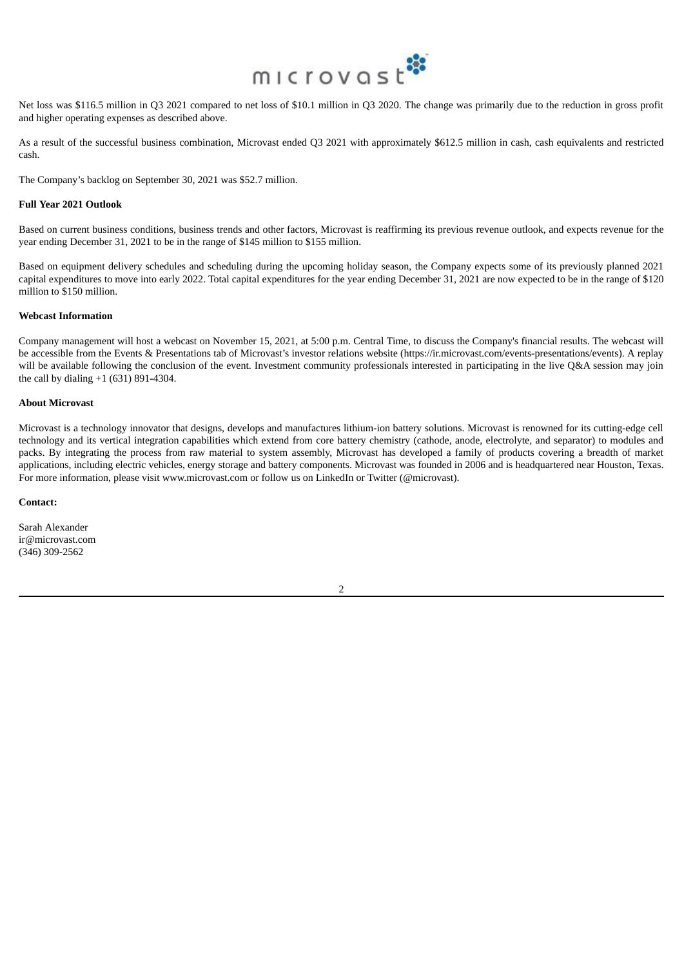

Net loss was \$116.5 million in Q3 2021 compared to net loss of \$10.1 million in Q3 2020. The change was primarily due to the reduction in gross profit and higher operating expenses as described above.

As a result of the successful business combination, Microvast ended Q3 2021 with approximately \$612.5 million in cash, cash equivalents and restricted cash.

The Company's backlog on September 30, 2021 was \$52.7 million.

#### **Full Year 2021 Outlook**

Based on current business conditions, business trends and other factors, Microvast is reaffirming its previous revenue outlook, and expects revenue for the year ending December 31, 2021 to be in the range of \$145 million to \$155 million.

Based on equipment delivery schedules and scheduling during the upcoming holiday season, the Company expects some of its previously planned 2021 capital expenditures to move into early 2022. Total capital expenditures for the year ending December 31, 2021 are now expected to be in the range of \$120 million to \$150 million.

#### **Webcast Information**

Company management will host a webcast on November 15, 2021, at 5:00 p.m. Central Time, to discuss the Company's financial results. The webcast will be accessible from the Events & Presentations tab of Microvast's investor relations website (https://ir.microvast.com/events-presentations/events). A replay will be available following the conclusion of the event. Investment community professionals interested in participating in the live Q&A session may join the call by dialing +1 (631) 891-4304.

#### **About Microvast**

Microvast is a technology innovator that designs, develops and manufactures lithium-ion battery solutions. Microvast is renowned for its cutting-edge cell technology and its vertical integration capabilities which extend from core battery chemistry (cathode, anode, electrolyte, and separator) to modules and packs. By integrating the process from raw material to system assembly, Microvast has developed a family of products covering a breadth of market applications, including electric vehicles, energy storage and battery components. Microvast was founded in 2006 and is headquartered near Houston, Texas. For more information, please visit www.microvast.com or follow us on LinkedIn or Twitter (@microvast).

#### **Contact:**

Sarah Alexander ir@microvast.com (346) 309-2562

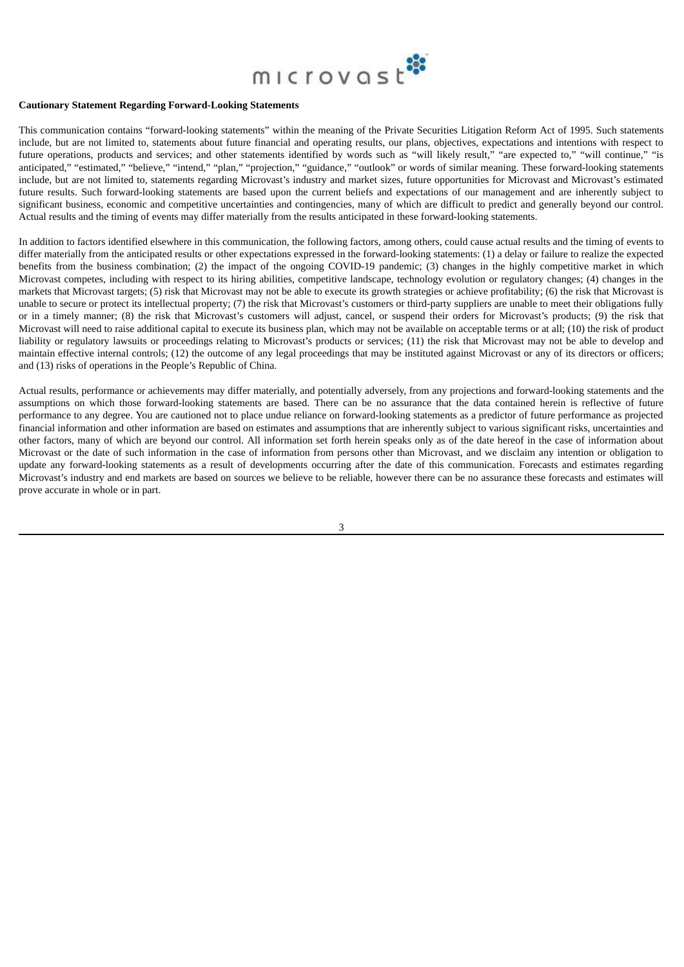

#### **Cautionary Statement Regarding Forward-Looking Statements**

This communication contains "forward-looking statements" within the meaning of the Private Securities Litigation Reform Act of 1995. Such statements include, but are not limited to, statements about future financial and operating results, our plans, objectives, expectations and intentions with respect to future operations, products and services; and other statements identified by words such as "will likely result," "are expected to," "will continue," "is anticipated," "estimated," "believe," "intend," "plan," "projection," "guidance," "outlook" or words of similar meaning. These forward-looking statements include, but are not limited to, statements regarding Microvast's industry and market sizes, future opportunities for Microvast and Microvast's estimated future results. Such forward-looking statements are based upon the current beliefs and expectations of our management and are inherently subject to significant business, economic and competitive uncertainties and contingencies, many of which are difficult to predict and generally beyond our control. Actual results and the timing of events may differ materially from the results anticipated in these forward-looking statements.

In addition to factors identified elsewhere in this communication, the following factors, among others, could cause actual results and the timing of events to differ materially from the anticipated results or other expectations expressed in the forward-looking statements: (1) a delay or failure to realize the expected benefits from the business combination; (2) the impact of the ongoing COVID-19 pandemic; (3) changes in the highly competitive market in which Microvast competes, including with respect to its hiring abilities, competitive landscape, technology evolution or regulatory changes; (4) changes in the markets that Microvast targets; (5) risk that Microvast may not be able to execute its growth strategies or achieve profitability; (6) the risk that Microvast is unable to secure or protect its intellectual property; (7) the risk that Microvast's customers or third-party suppliers are unable to meet their obligations fully or in a timely manner; (8) the risk that Microvast's customers will adjust, cancel, or suspend their orders for Microvast's products; (9) the risk that Microvast will need to raise additional capital to execute its business plan, which may not be available on acceptable terms or at all; (10) the risk of product liability or regulatory lawsuits or proceedings relating to Microvast's products or services; (11) the risk that Microvast may not be able to develop and maintain effective internal controls; (12) the outcome of any legal proceedings that may be instituted against Microvast or any of its directors or officers; and (13) risks of operations in the People's Republic of China.

Actual results, performance or achievements may differ materially, and potentially adversely, from any projections and forward-looking statements and the assumptions on which those forward-looking statements are based. There can be no assurance that the data contained herein is reflective of future performance to any degree. You are cautioned not to place undue reliance on forward-looking statements as a predictor of future performance as projected financial information and other information are based on estimates and assumptions that are inherently subject to various significant risks, uncertainties and other factors, many of which are beyond our control. All information set forth herein speaks only as of the date hereof in the case of information about Microvast or the date of such information in the case of information from persons other than Microvast, and we disclaim any intention or obligation to update any forward-looking statements as a result of developments occurring after the date of this communication. Forecasts and estimates regarding Microvast's industry and end markets are based on sources we believe to be reliable, however there can be no assurance these forecasts and estimates will prove accurate in whole or in part.

3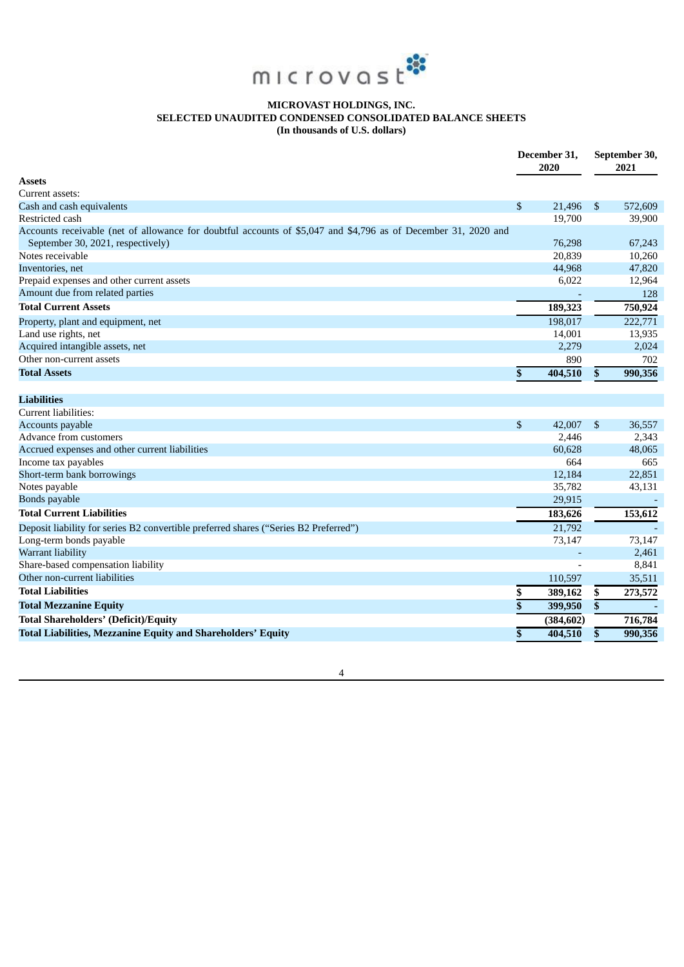

# **MICROVAST HOLDINGS, INC. SELECTED UNAUDITED CONDENSED CONSOLIDATED BALANCE SHEETS (In thousands of U.S. dollars)**

| <b>Assets</b><br>Current assets:<br>\$<br>21,496<br>$\mathbb{S}$<br>Cash and cash equivalents<br>19,700<br>Restricted cash<br>Accounts receivable (net of allowance for doubtful accounts of \$5,047 and \$4,796 as of December 31, 2020 and<br>September 30, 2021, respectively)<br>76,298<br>Notes receivable<br>20,839<br>44,968<br>Inventories, net<br>Prepaid expenses and other current assets<br>6,022<br>Amount due from related parties<br><b>Total Current Assets</b><br>189,323<br>198,017<br>Property, plant and equipment, net<br>Land use rights, net<br>14,001<br>Acquired intangible assets, net<br>2,279<br>Other non-current assets<br>890 | September 30,<br>2021 |  |
|--------------------------------------------------------------------------------------------------------------------------------------------------------------------------------------------------------------------------------------------------------------------------------------------------------------------------------------------------------------------------------------------------------------------------------------------------------------------------------------------------------------------------------------------------------------------------------------------------------------------------------------------------------------|-----------------------|--|
|                                                                                                                                                                                                                                                                                                                                                                                                                                                                                                                                                                                                                                                              |                       |  |
|                                                                                                                                                                                                                                                                                                                                                                                                                                                                                                                                                                                                                                                              |                       |  |
|                                                                                                                                                                                                                                                                                                                                                                                                                                                                                                                                                                                                                                                              | 572,609               |  |
|                                                                                                                                                                                                                                                                                                                                                                                                                                                                                                                                                                                                                                                              | 39,900                |  |
|                                                                                                                                                                                                                                                                                                                                                                                                                                                                                                                                                                                                                                                              |                       |  |
|                                                                                                                                                                                                                                                                                                                                                                                                                                                                                                                                                                                                                                                              | 67,243                |  |
|                                                                                                                                                                                                                                                                                                                                                                                                                                                                                                                                                                                                                                                              | 10,260                |  |
|                                                                                                                                                                                                                                                                                                                                                                                                                                                                                                                                                                                                                                                              | 47,820                |  |
|                                                                                                                                                                                                                                                                                                                                                                                                                                                                                                                                                                                                                                                              | 12,964                |  |
|                                                                                                                                                                                                                                                                                                                                                                                                                                                                                                                                                                                                                                                              | 128                   |  |
|                                                                                                                                                                                                                                                                                                                                                                                                                                                                                                                                                                                                                                                              | 750,924               |  |
|                                                                                                                                                                                                                                                                                                                                                                                                                                                                                                                                                                                                                                                              | 222,771               |  |
|                                                                                                                                                                                                                                                                                                                                                                                                                                                                                                                                                                                                                                                              | 13,935                |  |
|                                                                                                                                                                                                                                                                                                                                                                                                                                                                                                                                                                                                                                                              | 2,024                 |  |
|                                                                                                                                                                                                                                                                                                                                                                                                                                                                                                                                                                                                                                                              | 702                   |  |
| <b>Total Assets</b><br>\$<br>404,510<br>\$                                                                                                                                                                                                                                                                                                                                                                                                                                                                                                                                                                                                                   | 990,356               |  |
| <b>Liabilities</b>                                                                                                                                                                                                                                                                                                                                                                                                                                                                                                                                                                                                                                           |                       |  |
| Current liabilities:                                                                                                                                                                                                                                                                                                                                                                                                                                                                                                                                                                                                                                         |                       |  |
| \$<br>42,007<br>$\mathbb{S}$<br>Accounts payable                                                                                                                                                                                                                                                                                                                                                                                                                                                                                                                                                                                                             | 36,557                |  |
| Advance from customers<br>2.446                                                                                                                                                                                                                                                                                                                                                                                                                                                                                                                                                                                                                              | 2,343                 |  |
| Accrued expenses and other current liabilities<br>60,628                                                                                                                                                                                                                                                                                                                                                                                                                                                                                                                                                                                                     | 48,065                |  |
| Income tax payables<br>664                                                                                                                                                                                                                                                                                                                                                                                                                                                                                                                                                                                                                                   | 665                   |  |
| Short-term bank borrowings<br>12,184                                                                                                                                                                                                                                                                                                                                                                                                                                                                                                                                                                                                                         | 22,851                |  |
| Notes payable<br>35,782                                                                                                                                                                                                                                                                                                                                                                                                                                                                                                                                                                                                                                      | 43,131                |  |
| Bonds payable<br>29,915                                                                                                                                                                                                                                                                                                                                                                                                                                                                                                                                                                                                                                      |                       |  |
| <b>Total Current Liabilities</b><br>183,626                                                                                                                                                                                                                                                                                                                                                                                                                                                                                                                                                                                                                  | 153,612               |  |
| 21,792<br>Deposit liability for series B2 convertible preferred shares ("Series B2 Preferred")                                                                                                                                                                                                                                                                                                                                                                                                                                                                                                                                                               |                       |  |
| Long-term bonds payable<br>73,147                                                                                                                                                                                                                                                                                                                                                                                                                                                                                                                                                                                                                            | 73,147                |  |
| Warrant liability                                                                                                                                                                                                                                                                                                                                                                                                                                                                                                                                                                                                                                            | 2,461                 |  |
| Share-based compensation liability                                                                                                                                                                                                                                                                                                                                                                                                                                                                                                                                                                                                                           | 8,841                 |  |
| Other non-current liabilities<br>110,597                                                                                                                                                                                                                                                                                                                                                                                                                                                                                                                                                                                                                     | 35,511                |  |
| <b>Total Liabilities</b><br>\$<br>\$<br>389,162                                                                                                                                                                                                                                                                                                                                                                                                                                                                                                                                                                                                              | 273,572               |  |
| \$<br><b>Total Mezzanine Equity</b><br>\$<br>399,950                                                                                                                                                                                                                                                                                                                                                                                                                                                                                                                                                                                                         |                       |  |
| <b>Total Shareholders' (Deficit)/Equity</b><br>(384, 602)                                                                                                                                                                                                                                                                                                                                                                                                                                                                                                                                                                                                    | 716,784               |  |
| <b>Total Liabilities, Mezzanine Equity and Shareholders' Equity</b><br>404,510<br>\$<br>\$                                                                                                                                                                                                                                                                                                                                                                                                                                                                                                                                                                   | 990,356               |  |

4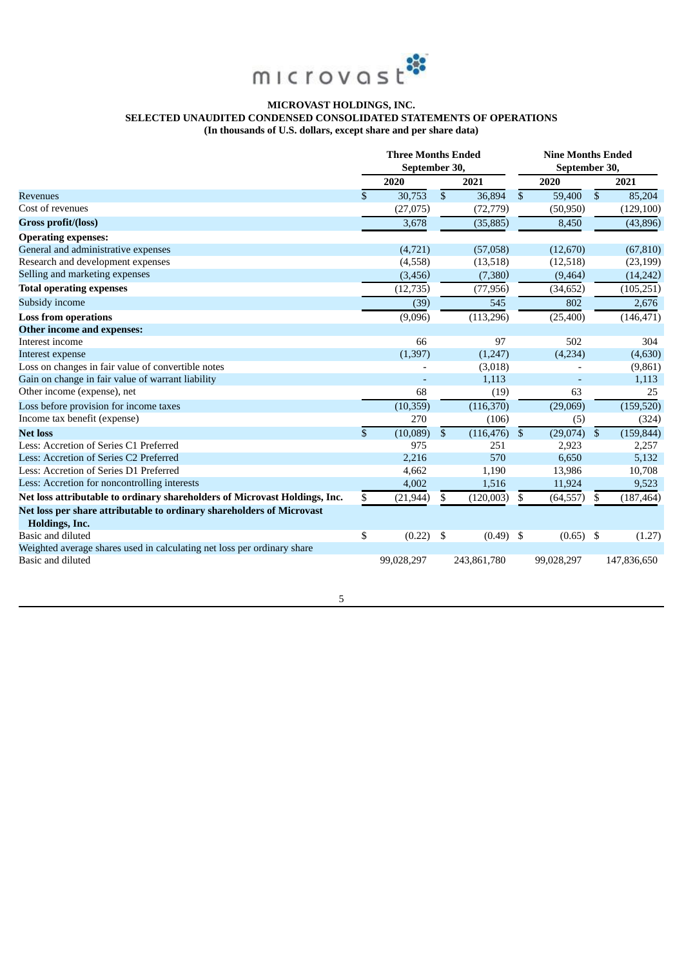

# **MICROVAST HOLDINGS, INC. SELECTED UNAUDITED CONDENSED CONSOLIDATED STATEMENTS OF OPERATIONS (In thousands of U.S. dollars, except share and per share data)**

|                                                                                         | <b>Three Months Ended</b><br>September 30, |                         |             | <b>Nine Months Ended</b><br>September 30, |             |                         |             |
|-----------------------------------------------------------------------------------------|--------------------------------------------|-------------------------|-------------|-------------------------------------------|-------------|-------------------------|-------------|
|                                                                                         | 2020                                       |                         | 2021        |                                           | 2020        |                         | 2021        |
| <b>Revenues</b>                                                                         | \$<br>30,753                               | $\overline{\mathbb{S}}$ | 36,894      | $\mathbb{S}$                              | 59,400      | $\overline{\mathbb{S}}$ | 85,204      |
| Cost of revenues                                                                        | (27, 075)                                  |                         | (72, 779)   |                                           | (50, 950)   |                         | (129, 100)  |
| Gross profit/(loss)                                                                     | 3,678                                      |                         | (35, 885)   |                                           | 8,450       |                         | (43, 896)   |
| <b>Operating expenses:</b>                                                              |                                            |                         |             |                                           |             |                         |             |
| General and administrative expenses                                                     | (4,721)                                    |                         | (57,058)    |                                           | (12,670)    |                         | (67, 810)   |
| Research and development expenses                                                       | (4,558)                                    |                         | (13,518)    |                                           | (12,518)    |                         | (23, 199)   |
| Selling and marketing expenses                                                          | (3, 456)                                   |                         | (7,380)     |                                           | (9, 464)    |                         | (14, 242)   |
| <b>Total operating expenses</b>                                                         | (12, 735)                                  |                         | (77, 956)   |                                           | (34, 652)   |                         | (105, 251)  |
| Subsidy income                                                                          | (39)                                       |                         | 545         |                                           | 802         |                         | 2,676       |
| <b>Loss from operations</b>                                                             | (9,096)                                    |                         | (113,296)   |                                           | (25, 400)   |                         | (146, 471)  |
| Other income and expenses:                                                              |                                            |                         |             |                                           |             |                         |             |
| Interest income                                                                         | 66                                         |                         | 97          |                                           | 502         |                         | 304         |
| Interest expense                                                                        | (1, 397)                                   |                         | (1,247)     |                                           | (4,234)     |                         | (4,630)     |
| Loss on changes in fair value of convertible notes                                      |                                            |                         | (3,018)     |                                           |             |                         | (9,861)     |
| Gain on change in fair value of warrant liability                                       |                                            |                         | 1,113       |                                           |             |                         | 1,113       |
| Other income (expense), net                                                             | 68                                         |                         | (19)        |                                           | 63          |                         | 25          |
| Loss before provision for income taxes                                                  | (10, 359)                                  |                         | (116, 370)  |                                           | (29,069)    |                         | (159, 520)  |
| Income tax benefit (expense)                                                            | 270                                        |                         | (106)       |                                           | (5)         |                         | (324)       |
| <b>Net loss</b>                                                                         | \$<br>(10,089)                             | $\mathbb{S}$            | (116, 476)  | \$                                        | (29,074)    | $\mathfrak{S}$          | (159, 844)  |
| Less: Accretion of Series C1 Preferred                                                  | 975                                        |                         | 251         |                                           | 2,923       |                         | 2,257       |
| Less: Accretion of Series C2 Preferred                                                  | 2,216                                      |                         | 570         |                                           | 6,650       |                         | 5,132       |
| Less: Accretion of Series D1 Preferred                                                  | 4,662                                      |                         | 1,190       |                                           | 13,986      |                         | 10,708      |
| Less: Accretion for noncontrolling interests                                            | 4,002                                      |                         | 1,516       |                                           | 11,924      |                         | 9,523       |
| Net loss attributable to ordinary shareholders of Microvast Holdings, Inc.              | \$<br>(21, 944)                            | \$                      | (120,003)   | S                                         | (64, 557)   | \$                      | (187, 464)  |
| Net loss per share attributable to ordinary shareholders of Microvast<br>Holdings, Inc. |                                            |                         |             |                                           |             |                         |             |
| Basic and diluted                                                                       | \$<br>(0.22)                               | \$                      | $(0.49)$ \$ |                                           | $(0.65)$ \$ |                         | (1.27)      |
| Weighted average shares used in calculating net loss per ordinary share                 |                                            |                         |             |                                           |             |                         |             |
| Basic and diluted                                                                       | 99,028,297                                 |                         | 243,861,780 |                                           | 99,028,297  |                         | 147,836,650 |